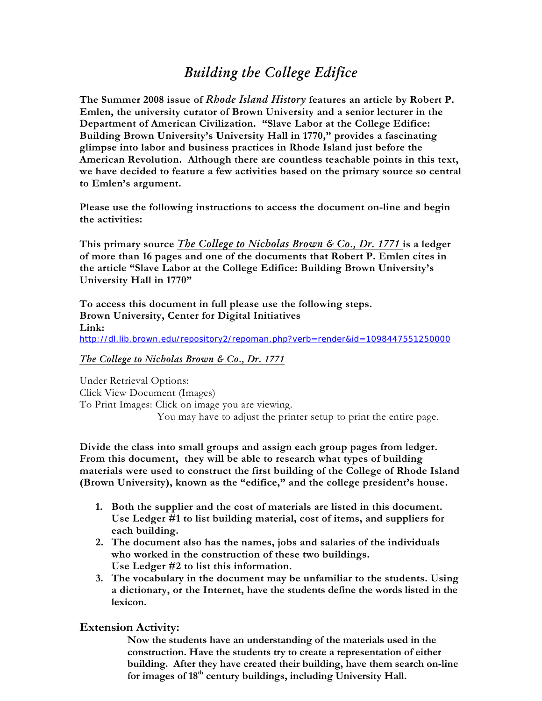# *Building the College Edifice*

**The Summer 2008 issue of** *Rhode Island History* **features an article by Robert P. Emlen, the university curator of Brown University and a senior lecturer in the Department of American Civilization. "Slave Labor at the College Edifice: Building Brown University's University Hall in 1770," provides a fascinating glimpse into labor and business practices in Rhode Island just before the American Revolution. Although there are countless teachable points in this text, we have decided to feature a few activities based on the primary source so central to Emlen's argument.** 

**Please use the following instructions to access the document on-line and begin the activities:** 

**This primary source** *The College to Nicholas Brown & Co., Dr. 1771* **is a ledger of more than 16 pages and one of the documents that Robert P. Emlen cites in the article "Slave Labor at the College Edifice: Building Brown University's University Hall in 1770"** 

**To access this document in full please use the following steps. Brown University, Center for Digital Initiatives Link:** <http://dl.lib.brown.edu/repository2/repoman.php?verb=render&id=1098447551250000>

### *The College to Nicholas Brown & Co., Dr. 1771*

Under Retrieval Options: Click View Document (Images) To Print Images: Click on image you are viewing. You may have to adjust the printer setup to print the entire page.

**Divide the class into small groups and assign each group pages from ledger. From this document, they will be able to research what types of building materials were used to construct the first building of the College of Rhode Island (Brown University), known as the "edifice," and the college president's house.** 

- **1. Both the supplier and the cost of materials are listed in this document. Use Ledger #1 to list building material, cost of items, and suppliers for each building.**
- **2. The document also has the names, jobs and salaries of the individuals who worked in the construction of these two buildings. Use Ledger #2 to list this information.**
- **3. The vocabulary in the document may be unfamiliar to the students. Using a dictionary, or the Internet, have the students define the words listed in the lexicon.**

# **Extension Activity:**

**Now the students have an understanding of the materials used in the construction. Have the students try to create a representation of either building. After they have created their building, have them search on-line**  for images of 18<sup>th</sup> century buildings, including University Hall.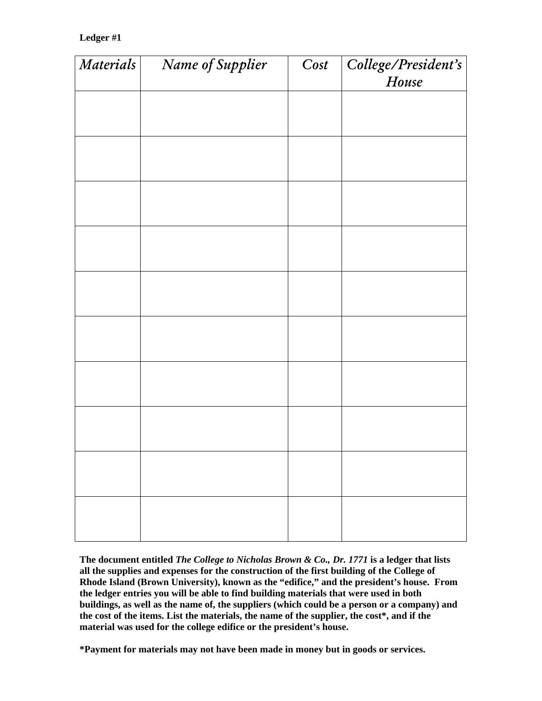## **Ledger #1**

| Materials | Name of Supplier | Cost | College/President's<br>House |
|-----------|------------------|------|------------------------------|
|           |                  |      |                              |
|           |                  |      |                              |
|           |                  |      |                              |
|           |                  |      |                              |
|           |                  |      |                              |
|           |                  |      |                              |
|           |                  |      |                              |
|           |                  |      |                              |
|           |                  |      |                              |
|           |                  |      |                              |
|           |                  |      |                              |

**The document entitled** *The College to Nicholas Brown & Co., Dr. 1771* **is a ledger that lists all the supplies and expenses for the construction of the first building of the College of Rhode Island (Brown University), known as the "edifice," and the president's house. From the ledger entries you will be able to find building materials that were used in both buildings, as well as the name of, the suppliers (which could be a person or a company) and the cost of the items. List the materials, the name of the supplier, the cost\*, and if the material was used for the college edifice or the president's house.** 

**\*Payment for materials may not have been made in money but in goods or services.**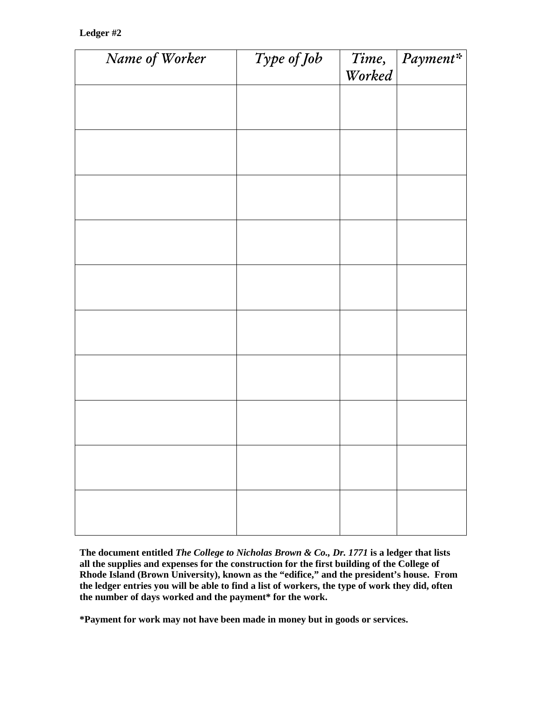### **Ledger #2**

| Name of Worker | Type of Job | Time,<br>Worked | Payment* |
|----------------|-------------|-----------------|----------|
|                |             |                 |          |
|                |             |                 |          |
|                |             |                 |          |
|                |             |                 |          |
|                |             |                 |          |
|                |             |                 |          |
|                |             |                 |          |
|                |             |                 |          |
|                |             |                 |          |
|                |             |                 |          |
|                |             |                 |          |
|                |             |                 |          |
|                |             |                 |          |

**The document entitled** *The College to Nicholas Brown & Co., Dr. 1771* **is a ledger that lists all the supplies and expenses for the construction for the first building of the College of Rhode Island (Brown University), known as the "edifice," and the president's house. From the ledger entries you will be able to find a list of workers, the type of work they did, often the number of days worked and the payment\* for the work.** 

**\*Payment for work may not have been made in money but in goods or services.**